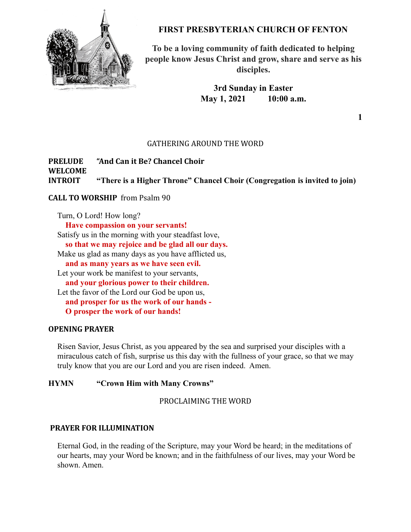

## **FIRST PRESBYTERIAN CHURCH OF FENTON**

**To be a loving community of faith dedicated to helping people know Jesus Christ and grow, share and serve as his disciples.**

> **3rd Sunday in Easter May 1, 2021 10:00 a.m.**

> > **1**

## GATHERING AROUND THE WORD

## **PRELUDE "And Can it Be? Chancel Choir WELCOME INTROIT "There is a Higher Throne" Chancel Choir (Congregation is invited to join)**

## **CALL TO WORSHIP** from Psalm 90

Turn, O Lord! How long? **Have compassion on your servants!** Satisfy us in the morning with your steadfast love, **so that we may rejoice and be glad all our days.** Make us glad as many days as you have afflicted us, **and as many years as we have seen evil.** Let your work be manifest to your servants, **and your glorious power to their children.** Let the favor of the Lord our God be upon us, **and prosper for us the work of our hands - O prosper the work of our hands!**

## **OPENING PRAYER**

Risen Savior, Jesus Christ, as you appeared by the sea and surprised your disciples with a miraculous catch of fish, surprise us this day with the fullness of your grace, so that we may truly know that you are our Lord and you are risen indeed. Amen.

### **HYMN "Crown Him with Many Crowns"**

PROCLAIMING THE WORD

#### **PRAYER FOR ILLUMINATION**

Eternal God, in the reading of the Scripture, may your Word be heard; in the meditations of our hearts, may your Word be known; and in the faithfulness of our lives, may your Word be shown. Amen.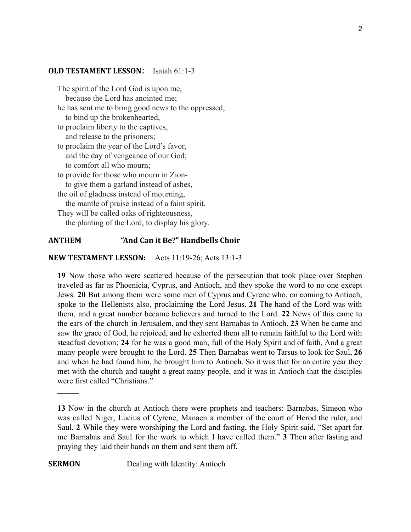#### **OLD TESTAMENT LESSON**: Isaiah 61:1-3

The spirit of the Lord God is upon me, because the Lord has anointed me;

- he has sent me to bring good news to the oppressed, to bind up the brokenhearted,
- to proclaim liberty to the captives, and release to the prisoners;
- to proclaim the year of the Lord's favor, and the day of vengeance of our God; to comfort all who mourn;

to provide for those who mourn in Zion-

to give them a garland instead of ashes,

the oil of gladness instead of mourning,

the mantle of praise instead of a faint spirit.

They will be called oaks of righteousness, the planting of the Lord, to display his glory.

## **ANTHEM "And Can it Be?" Handbells Choir**

**NEW TESTAMENT LESSON:** Acts 11:19-26; Acts 13:1-3

**19** Now those who were scattered because of the persecution that took place over Stephen traveled as far as Phoenicia, Cyprus, and Antioch, and they spoke the word to no one except Jews. **20** But among them were some men of Cyprus and Cyrene who, on coming to Antioch, spoke to the Hellenists also, proclaiming the Lord Jesus. **21** The hand of the Lord was with them, and a great number became believers and turned to the Lord. **22** News of this came to the ears of the church in Jerusalem, and they sent Barnabas to Antioch. **23** When he came and saw the grace of God, he rejoiced, and he exhorted them all to remain faithful to the Lord with steadfast devotion; **24** for he was a good man, full of the Holy Spirit and of faith. And a great many people were brought to the Lord. **25** Then Barnabas went to Tarsus to look for Saul, **26** and when he had found him, he brought him to Antioch. So it was that for an entire year they met with the church and taught a great many people, and it was in Antioch that the disciples were first called "Christians."

\_\_\_\_\_\_

**SERMON** Dealing with Identity: Antioch

**<sup>13</sup>** Now in the church at Antioch there were prophets and teachers: Barnabas, Simeon who was called Niger, Lucius of Cyrene, Manaen a member of the court of Herod the ruler, and Saul. **2** While they were worshiping the Lord and fasting, the Holy Spirit said, "Set apart for me Barnabas and Saul for the work to which I have called them." **3** Then after fasting and praying they laid their hands on them and sent them off.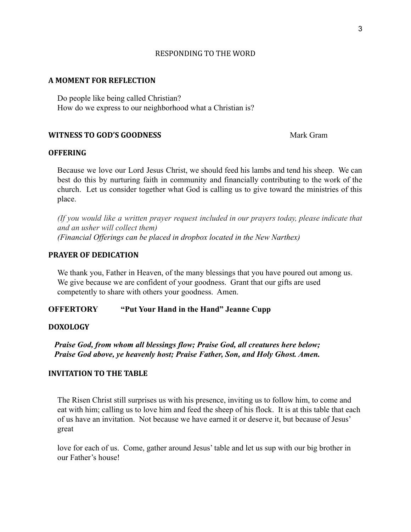## RESPONDING TO THE WORD

#### **A MOMENT FOR REFLECTION**

Do people like being called Christian? How do we express to our neighborhood what a Christian is?

## **WITNESS TO GOD'S GOODNESS** Mark Gram

## **OFFERING**

Because we love our Lord Jesus Christ, we should feed his lambs and tend his sheep. We can best do this by nurturing faith in community and financially contributing to the work of the church. Let us consider together what God is calling us to give toward the ministries of this place.

*(If you would like a written prayer request included in our prayers today, please indicate that and an usher will collect them) (Financial Offerings can be placed in dropbox located in the New Narthex)*

## **PRAYER OF DEDICATION**

We thank you, Father in Heaven, of the many blessings that you have poured out among us. We give because we are confident of your goodness. Grant that our gifts are used competently to share with others your goodness. Amen.

**OFFERTORY "Put Your Hand in the Hand" Jeanne Cupp**

## **DOXOLOGY**

*Praise God, from whom all blessings flow; Praise God, all creatures here below; Praise God above, ye heavenly host; Praise Father, Son, and Holy Ghost. Amen.*

## **INVITATION TO THE TABLE**

The Risen Christ still surprises us with his presence, inviting us to follow him, to come and eat with him; calling us to love him and feed the sheep of his flock. It is at this table that each of us have an invitation. Not because we have earned it or deserve it, but because of Jesus' great

love for each of us. Come, gather around Jesus' table and let us sup with our big brother in our Father's house!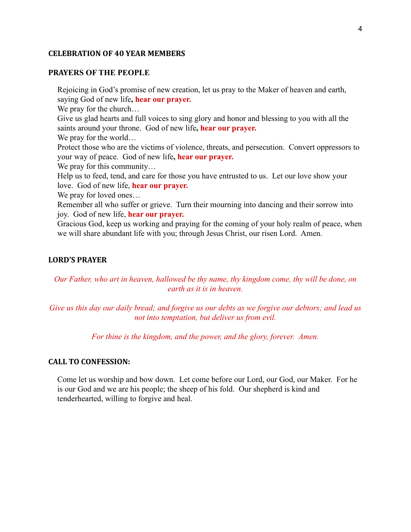#### **CELEBRATION OF 40 YEAR MEMBERS**

## **PRAYERS OF THE PEOPLE**

Rejoicing in God's promise of new creation, let us pray to the Maker of heaven and earth, saying God of new life**, hear our prayer.** We pray for the church... Give us glad hearts and full voices to sing glory and honor and blessing to you with all the saints around your throne. God of new life**, hear our prayer.** We pray for the world… Protect those who are the victims of violence, threats, and persecution. Convert oppressors to your way of peace. God of new life**, hear our prayer.** We pray for this community... Help us to feed, tend, and care for those you have entrusted to us. Let our love show your love. God of new life, **hear our prayer.** We pray for loved ones... Remember all who suffer or grieve. Turn their mourning into dancing and their sorrow into joy. God of new life, **hear our prayer.** Gracious God, keep us working and praying for the coming of your holy realm of peace, when we will share abundant life with you; through Jesus Christ, our risen Lord. Amen.

## **LORD'S PRAYER**

*Our Father, who art in heaven, hallowed be thy name, thy kingdom come, thy will be done, on earth as it is in heaven.*

*Give us this day our daily bread; and forgive us our debts as we forgive our debtors; and lead us not into temptation, but deliver us from evil.*

*For thine is the kingdom, and the power, and the glory, forever. Amen.*

#### **CALL TO CONFESSION:**

Come let us worship and bow down. Let come before our Lord, our God, our Maker. For he is our God and we are his people; the sheep of his fold. Our shepherd is kind and tenderhearted, willing to forgive and heal.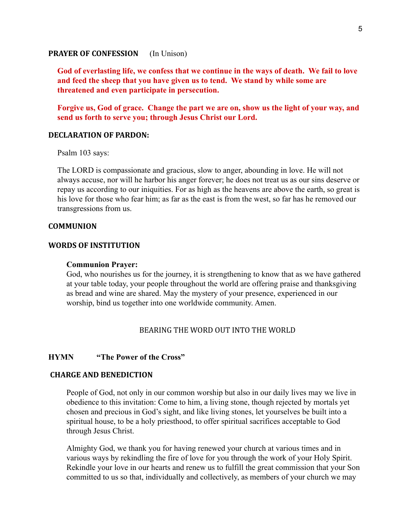#### **PRAYER OF CONFESSION** (In Unison)

**God of everlasting life, we confess that we continue in the ways of death. We fail to love and feed the sheep that you have given us to tend. We stand by while some are threatened and even participate in persecution.**

**Forgive us, God of grace. Change the part we are on, show us the light of your way, and send us forth to serve you; through Jesus Christ our Lord.**

#### **DECLARATION OF PARDON:**

Psalm 103 says:

The LORD is compassionate and gracious, slow to anger, abounding in love. He will not always accuse, nor will he harbor his anger forever; he does not treat us as our sins deserve or repay us according to our iniquities. For as high as the heavens are above the earth, so great is his love for those who fear him; as far as the east is from the west, so far has he removed our transgressions from us.

## **COMMUNION**

#### **WORDS OF INSTITUTION**

#### **Communion Prayer:**

God, who nourishes us for the journey, it is strengthening to know that as we have gathered at your table today, your people throughout the world are offering praise and thanksgiving as bread and wine are shared. May the mystery of your presence, experienced in our worship, bind us together into one worldwide community. Amen.

## BEARING THE WORD OUT INTO THE WORLD

## **HYMN "The Power of the Cross"**

### **CHARGE AND BENEDICTION**

People of God, not only in our common worship but also in our daily lives may we live in obedience to this invitation: Come to him, a living stone, though rejected by mortals yet chosen and precious in God's sight, and like living stones, let yourselves be built into a spiritual house, to be a holy priesthood, to offer spiritual sacrifices acceptable to God through Jesus Christ.

Almighty God, we thank you for having renewed your church at various times and in various ways by rekindling the fire of love for you through the work of your Holy Spirit. Rekindle your love in our hearts and renew us to fulfill the great commission that your Son committed to us so that, individually and collectively, as members of your church we may